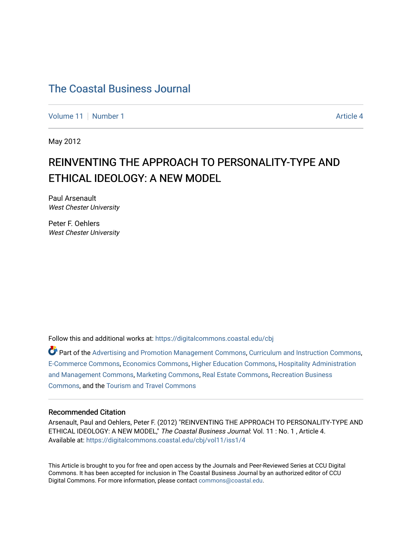[Volume 11](https://digitalcommons.coastal.edu/cbj/vol11) [Number 1](https://digitalcommons.coastal.edu/cbj/vol11/iss1) Article 4

May 2012

### REINVENTING THE APPROACH TO PERSONALITY-TYPE AND ETHICAL IDEOLOGY: A NEW MODEL

Paul Arsenault West Chester University

Peter F. Oehlers West Chester University

Follow this and additional works at: [https://digitalcommons.coastal.edu/cbj](https://digitalcommons.coastal.edu/cbj?utm_source=digitalcommons.coastal.edu%2Fcbj%2Fvol11%2Fiss1%2F4&utm_medium=PDF&utm_campaign=PDFCoverPages) 

Part of the [Advertising and Promotion Management Commons,](http://network.bepress.com/hgg/discipline/626?utm_source=digitalcommons.coastal.edu%2Fcbj%2Fvol11%2Fiss1%2F4&utm_medium=PDF&utm_campaign=PDFCoverPages) [Curriculum and Instruction Commons,](http://network.bepress.com/hgg/discipline/786?utm_source=digitalcommons.coastal.edu%2Fcbj%2Fvol11%2Fiss1%2F4&utm_medium=PDF&utm_campaign=PDFCoverPages) [E-Commerce Commons,](http://network.bepress.com/hgg/discipline/624?utm_source=digitalcommons.coastal.edu%2Fcbj%2Fvol11%2Fiss1%2F4&utm_medium=PDF&utm_campaign=PDFCoverPages) [Economics Commons](http://network.bepress.com/hgg/discipline/340?utm_source=digitalcommons.coastal.edu%2Fcbj%2Fvol11%2Fiss1%2F4&utm_medium=PDF&utm_campaign=PDFCoverPages), [Higher Education Commons](http://network.bepress.com/hgg/discipline/1245?utm_source=digitalcommons.coastal.edu%2Fcbj%2Fvol11%2Fiss1%2F4&utm_medium=PDF&utm_campaign=PDFCoverPages), [Hospitality Administration](http://network.bepress.com/hgg/discipline/632?utm_source=digitalcommons.coastal.edu%2Fcbj%2Fvol11%2Fiss1%2F4&utm_medium=PDF&utm_campaign=PDFCoverPages) [and Management Commons,](http://network.bepress.com/hgg/discipline/632?utm_source=digitalcommons.coastal.edu%2Fcbj%2Fvol11%2Fiss1%2F4&utm_medium=PDF&utm_campaign=PDFCoverPages) [Marketing Commons](http://network.bepress.com/hgg/discipline/638?utm_source=digitalcommons.coastal.edu%2Fcbj%2Fvol11%2Fiss1%2F4&utm_medium=PDF&utm_campaign=PDFCoverPages), [Real Estate Commons](http://network.bepress.com/hgg/discipline/641?utm_source=digitalcommons.coastal.edu%2Fcbj%2Fvol11%2Fiss1%2F4&utm_medium=PDF&utm_campaign=PDFCoverPages), [Recreation Business](http://network.bepress.com/hgg/discipline/1083?utm_source=digitalcommons.coastal.edu%2Fcbj%2Fvol11%2Fiss1%2F4&utm_medium=PDF&utm_campaign=PDFCoverPages) [Commons](http://network.bepress.com/hgg/discipline/1083?utm_source=digitalcommons.coastal.edu%2Fcbj%2Fvol11%2Fiss1%2F4&utm_medium=PDF&utm_campaign=PDFCoverPages), and the [Tourism and Travel Commons](http://network.bepress.com/hgg/discipline/1082?utm_source=digitalcommons.coastal.edu%2Fcbj%2Fvol11%2Fiss1%2F4&utm_medium=PDF&utm_campaign=PDFCoverPages)

#### Recommended Citation

Arsenault, Paul and Oehlers, Peter F. (2012) "REINVENTING THE APPROACH TO PERSONALITY-TYPE AND ETHICAL IDEOLOGY: A NEW MODEL," The Coastal Business Journal: Vol. 11 : No. 1, Article 4. Available at: [https://digitalcommons.coastal.edu/cbj/vol11/iss1/4](https://digitalcommons.coastal.edu/cbj/vol11/iss1/4?utm_source=digitalcommons.coastal.edu%2Fcbj%2Fvol11%2Fiss1%2F4&utm_medium=PDF&utm_campaign=PDFCoverPages) 

This Article is brought to you for free and open access by the Journals and Peer-Reviewed Series at CCU Digital Commons. It has been accepted for inclusion in The Coastal Business Journal by an authorized editor of CCU Digital Commons. For more information, please contact [commons@coastal.edu](mailto:commons@coastal.edu).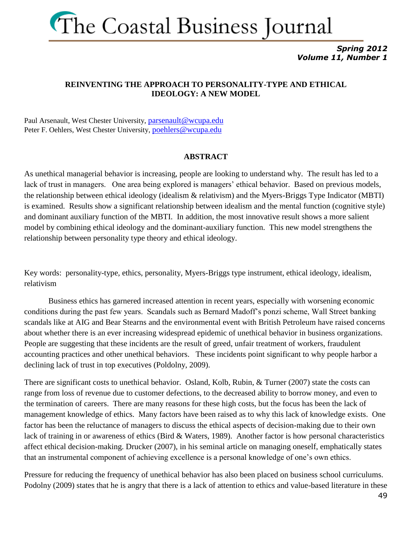

*Spring 2012 Volume 11, Number 1*

#### **REINVENTING THE APPROACH TO PERSONALITY-TYPE AND ETHICAL IDEOLOGY: A NEW MODEL**

Paul Arsenault, West Chester University, [parsenault@wcupa.edu](mailto:parsenault@wcupa.edu) Peter F. Oehlers, West Chester University, [poehlers@wcupa.edu](mailto:poehlers@wcupa.edu)

#### **ABSTRACT**

As unethical managerial behavior is increasing, people are looking to understand why. The result has led to a lack of trust in managers. One area being explored is managers' ethical behavior. Based on previous models, the relationship between ethical ideology (idealism & relativism) and the Myers-Briggs Type Indicator (MBTI) is examined. Results show a significant relationship between idealism and the mental function (cognitive style) and dominant auxiliary function of the MBTI. In addition, the most innovative result shows a more salient model by combining ethical ideology and the dominant-auxiliary function. This new model strengthens the relationship between personality type theory and ethical ideology.

Key words: personality-type, ethics, personality, Myers-Briggs type instrument, ethical ideology, idealism, relativism

Business ethics has garnered increased attention in recent years, especially with worsening economic conditions during the past few years. Scandals such as Bernard Madoff's ponzi scheme, Wall Street banking scandals like at AIG and Bear Stearns and the environmental event with British Petroleum have raised concerns about whether there is an ever increasing widespread epidemic of unethical behavior in business organizations. People are suggesting that these incidents are the result of greed, unfair treatment of workers, fraudulent accounting practices and other unethical behaviors. These incidents point significant to why people harbor a declining lack of trust in top executives (Poldolny, 2009).

There are significant costs to unethical behavior. Osland, Kolb, Rubin, & Turner (2007) state the costs can range from loss of revenue due to customer defections, to the decreased ability to borrow money, and even to the termination of careers. There are many reasons for these high costs, but the focus has been the lack of management knowledge of ethics. Many factors have been raised as to why this lack of knowledge exists. One factor has been the reluctance of managers to discuss the ethical aspects of decision-making due to their own lack of training in or awareness of ethics (Bird & Waters, 1989). Another factor is how personal characteristics affect ethical decision-making. Drucker (2007), in his seminal article on managing oneself, emphatically states that an instrumental component of achieving excellence is a personal knowledge of one's own ethics.

Pressure for reducing the frequency of unethical behavior has also been placed on business school curriculums. Podolny (2009) states that he is angry that there is a lack of attention to ethics and value-based literature in these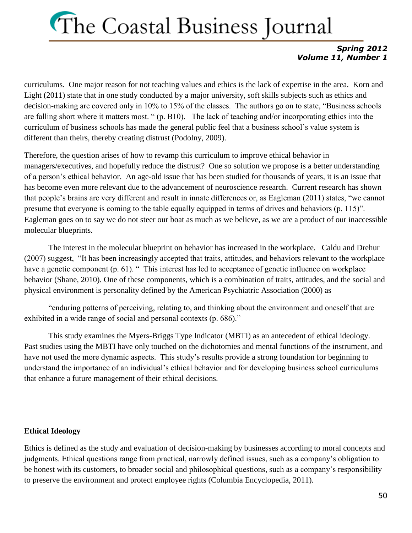#### *Spring 2012 Volume 11, Number 1*

curriculums. One major reason for not teaching values and ethics is the lack of expertise in the area. Korn and Light (2011) state that in one study conducted by a major university, soft skills subjects such as ethics and decision-making are covered only in 10% to 15% of the classes. The authors go on to state, "Business schools are falling short where it matters most. " (p. B10). The lack of teaching and/or incorporating ethics into the curriculum of business schools has made the general public feel that a business school's value system is different than theirs, thereby creating distrust (Podolny, 2009).

Therefore, the question arises of how to revamp this curriculum to improve ethical behavior in managers/executives, and hopefully reduce the distrust? One so solution we propose is a better understanding of a person's ethical behavior. An age-old issue that has been studied for thousands of years, it is an issue that has become even more relevant due to the advancement of neuroscience research. Current research has shown that people's brains are very different and result in innate differences or, as Eagleman (2011) states, "we cannot presume that everyone is coming to the table equally equipped in terms of drives and behaviors (p. 115)". Eagleman goes on to say we do not steer our boat as much as we believe, as we are a product of our inaccessible molecular blueprints.

The interest in the molecular blueprint on behavior has increased in the workplace. Caldu and Drehur (2007) suggest, "It has been increasingly accepted that traits, attitudes, and behaviors relevant to the workplace have a genetic component (p. 61). "This interest has led to acceptance of genetic influence on workplace behavior (Shane, 2010). One of these components, which is a combination of traits, attitudes, and the social and physical environment is personality defined by the American Psychiatric Association (2000) as

"enduring patterns of perceiving, relating to, and thinking about the environment and oneself that are exhibited in a wide range of social and personal contexts (p. 686)."

This study examines the Myers-Briggs Type Indicator (MBTI) as an antecedent of ethical ideology. Past studies using the MBTI have only touched on the dichotomies and mental functions of the instrument, and have not used the more dynamic aspects. This study's results provide a strong foundation for beginning to understand the importance of an individual's ethical behavior and for developing business school curriculums that enhance a future management of their ethical decisions.

#### **Ethical Ideology**

Ethics is defined as the study and evaluation of decision-making by businesses according to moral concepts and judgments. Ethical questions range from practical, narrowly defined issues, such as a company's obligation to be honest with its customers, to broader social and philosophical questions, such as a company's responsibility to preserve the environment and protect employee rights (Columbia Encyclopedia, 2011).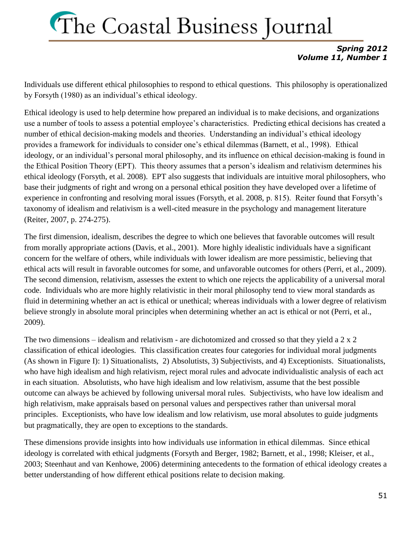#### *Spring 2012 Volume 11, Number 1*

Individuals use different ethical philosophies to respond to ethical questions. This philosophy is operationalized by Forsyth (1980) as an individual's ethical ideology.

Ethical ideology is used to help determine how prepared an individual is to make decisions, and organizations use a number of tools to assess a potential employee's characteristics. Predicting ethical decisions has created a number of ethical decision-making models and theories. Understanding an individual's ethical ideology provides a framework for individuals to consider one's ethical dilemmas (Barnett, et al., 1998). Ethical ideology, or an individual's personal moral philosophy, and its influence on ethical decision-making is found in the Ethical Position Theory (EPT). This theory assumes that a person's idealism and relativism determines his ethical ideology (Forsyth, et al. 2008). EPT also suggests that individuals are intuitive moral philosophers, who base their judgments of right and wrong on a personal ethical position they have developed over a lifetime of experience in confronting and resolving moral issues (Forsyth, et al. 2008, p. 815). Reiter found that Forsyth's taxonomy of idealism and relativism is a well-cited measure in the psychology and management literature (Reiter, 2007, p. 274-275).

The first dimension, idealism, describes the degree to which one believes that favorable outcomes will result from morally appropriate actions (Davis, et al., 2001). More highly idealistic individuals have a significant concern for the welfare of others, while individuals with lower idealism are more pessimistic, believing that ethical acts will result in favorable outcomes for some, and unfavorable outcomes for others (Perri, et al., 2009). The second dimension, relativism, assesses the extent to which one rejects the applicability of a universal moral code. Individuals who are more highly relativistic in their moral philosophy tend to view moral standards as fluid in determining whether an act is ethical or unethical; whereas individuals with a lower degree of relativism believe strongly in absolute moral principles when determining whether an act is ethical or not (Perri, et al., 2009).

The two dimensions – idealism and relativism - are dichotomized and crossed so that they yield a 2 x 2 classification of ethical ideologies. This classification creates four categories for individual moral judgments (As shown in Figure I): 1) Situationalists, 2) Absolutists, 3) Subjectivists, and 4) Exceptionists. Situationalists, who have high idealism and high relativism, reject moral rules and advocate individualistic analysis of each act in each situation. Absolutists, who have high idealism and low relativism, assume that the best possible outcome can always be achieved by following universal moral rules. Subjectivists, who have low idealism and high relativism, make appraisals based on personal values and perspectives rather than universal moral principles. Exceptionists, who have low idealism and low relativism, use moral absolutes to guide judgments but pragmatically, they are open to exceptions to the standards.

These dimensions provide insights into how individuals use information in ethical dilemmas. Since ethical ideology is correlated with ethical judgments (Forsyth and Berger, 1982; Barnett, et al., 1998; Kleiser, et al., 2003; Steenhaut and van Kenhowe, 2006) determining antecedents to the formation of ethical ideology creates a better understanding of how different ethical positions relate to decision making.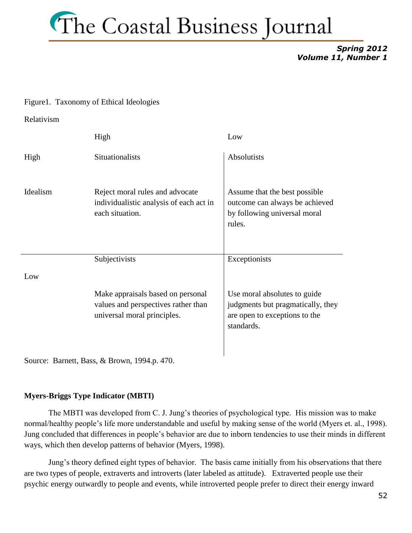*Spring 2012 Volume 11, Number 1*

#### Figure1. Taxonomy of Ethical Ideologies

Relativism

|          | High                                                                                                    | Low                                                                                                              |
|----------|---------------------------------------------------------------------------------------------------------|------------------------------------------------------------------------------------------------------------------|
| High     | <b>Situationalists</b>                                                                                  | <b>Absolutists</b>                                                                                               |
| Idealism | Reject moral rules and advocate<br>individualistic analysis of each act in<br>each situation.           | Assume that the best possible<br>outcome can always be achieved<br>by following universal moral<br>rules.        |
|          | Subjectivists                                                                                           | Exceptionists                                                                                                    |
| Low      |                                                                                                         |                                                                                                                  |
|          | Make appraisals based on personal<br>values and perspectives rather than<br>universal moral principles. | Use moral absolutes to guide<br>judgments but pragmatically, they<br>are open to exceptions to the<br>standards. |

Source: Barnett, Bass, & Brown, 1994.p. 470.

#### **Myers-Briggs Type Indicator (MBTI)**

The MBTI was developed from C. J. Jung's theories of psychological type. His mission was to make normal/healthy people's life more understandable and useful by making sense of the world (Myers et. al., 1998). Jung concluded that differences in people's behavior are due to inborn tendencies to use their minds in different ways, which then develop patterns of behavior (Myers, 1998).

Jung's theory defined eight types of behavior. The basis came initially from his observations that there are two types of people, extraverts and introverts (later labeled as attitude). Extraverted people use their psychic energy outwardly to people and events, while introverted people prefer to direct their energy inward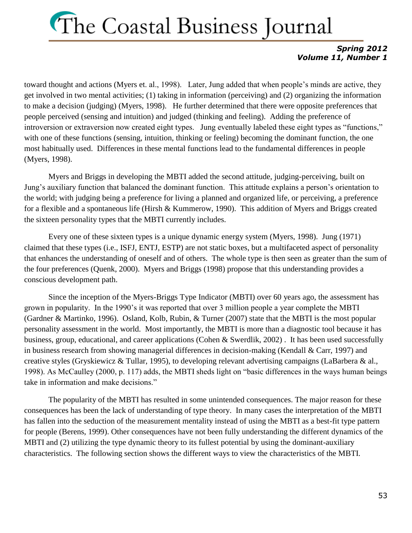#### *Spring 2012 Volume 11, Number 1*

toward thought and actions (Myers et. al., 1998). Later, Jung added that when people's minds are active, they get involved in two mental activities; (1) taking in information (perceiving) and (2) organizing the information to make a decision (judging) (Myers, 1998). He further determined that there were opposite preferences that people perceived (sensing and intuition) and judged (thinking and feeling). Adding the preference of introversion or extraversion now created eight types. Jung eventually labeled these eight types as "functions," with one of these functions (sensing, intuition, thinking or feeling) becoming the dominant function, the one most habitually used. Differences in these mental functions lead to the fundamental differences in people (Myers, 1998).

Myers and Briggs in developing the MBTI added the second attitude, judging-perceiving, built on Jung's auxiliary function that balanced the dominant function. This attitude explains a person's orientation to the world; with judging being a preference for living a planned and organized life, or perceiving, a preference for a flexible and a spontaneous life (Hirsh & Kummerow, 1990). This addition of Myers and Briggs created the sixteen personality types that the MBTI currently includes.

Every one of these sixteen types is a unique dynamic energy system (Myers, 1998). Jung (1971) claimed that these types (i.e., ISFJ, ENTJ, ESTP) are not static boxes, but a multifaceted aspect of personality that enhances the understanding of oneself and of others. The whole type is then seen as greater than the sum of the four preferences (Quenk, 2000). Myers and Briggs (1998) propose that this understanding provides a conscious development path.

Since the inception of the Myers-Briggs Type Indicator (MBTI) over 60 years ago, the assessment has grown in popularity. In the 1990's it was reported that over 3 million people a year complete the MBTI (Gardner & Martinko, 1996). Osland, Kolb, Rubin, & Turner (2007) state that the MBTI is the most popular personality assessment in the world. Most importantly, the MBTI is more than a diagnostic tool because it has business, group, educational, and career applications (Cohen & Swerdlik, 2002) . It has been used successfully in business research from showing managerial differences in decision-making (Kendall & Carr, 1997) and creative styles (Gryskiewicz & Tullar, 1995), to developing relevant advertising campaigns (LaBarbera & al., 1998). As McCaulley (2000, p. 117) adds, the MBTI sheds light on "basic differences in the ways human beings take in information and make decisions."

The popularity of the MBTI has resulted in some unintended consequences. The major reason for these consequences has been the lack of understanding of type theory. In many cases the interpretation of the MBTI has fallen into the seduction of the measurement mentality instead of using the MBTI as a best-fit type pattern for people (Berens, 1999). Other consequences have not been fully understanding the different dynamics of the MBTI and (2) utilizing the type dynamic theory to its fullest potential by using the dominant-auxiliary characteristics. The following section shows the different ways to view the characteristics of the MBTI.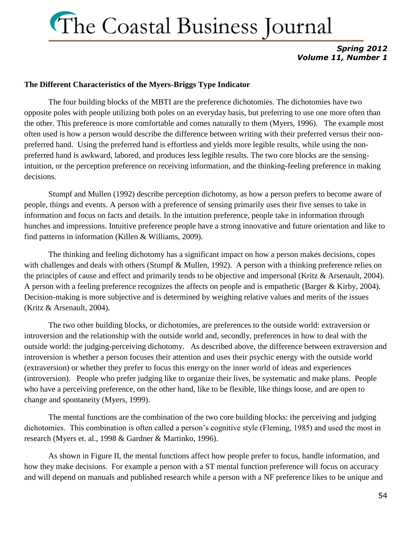#### *Spring 2012 Volume 11, Number 1*

#### **The Different Characteristics of the Myers-Briggs Type Indicator**

The four building blocks of the MBTI are the preference dichotomies. The dichotomies have two opposite poles with people utilizing both poles on an everyday basis, but preferring to use one more often than the other. This preference is more comfortable and comes naturally to them (Myers, 1996). The example most often used is how a person would describe the difference between writing with their preferred versus their nonpreferred hand. Using the preferred hand is effortless and yields more legible results, while using the nonpreferred hand is awkward, labored, and produces less legible results. The two core blocks are the sensingintuition, or the perception preference on receiving information, and the thinking-feeling preference in making decisions.

Stumpf and Mullen (1992) describe perception dichotomy, as how a person prefers to become aware of people, things and events. A person with a preference of sensing primarily uses their five senses to take in information and focus on facts and details. In the intuition preference, people take in information through hunches and impressions. Intuitive preference people have a strong innovative and future orientation and like to find patterns in information (Killen & Williams, 2009).

The thinking and feeling dichotomy has a significant impact on how a person makes decisions, copes with challenges and deals with others (Stumpf & Mullen, 1992). A person with a thinking preference relies on the principles of cause and effect and primarily tends to be objective and impersonal (Kritz & Arsenault, 2004). A person with a feeling preference recognizes the affects on people and is empathetic (Barger & Kirby, 2004). Decision-making is more subjective and is determined by weighing relative values and merits of the issues (Kritz & Arsenault, 2004).

The two other building blocks, or dichotomies, are preferences to the outside world: extraversion or introversion and the relationship with the outside world and, secondly, preferences in how to deal with the outside world: the judging-perceiving dichotomy. As described above, the difference between extraversion and introversion is whether a person focuses their attention and uses their psychic energy with the outside world (extraversion) or whether they prefer to focus this energy on the inner world of ideas and experiences (introversion). People who prefer judging like to organize their lives, be systematic and make plans. People who have a perceiving preference, on the other hand, like to be flexible, like things loose, and are open to change and spontaneity (Myers, 1999).

The mental functions are the combination of the two core building blocks: the perceiving and judging dichotomies. This combination is often called a person's cognitive style (Fleming, 1985) and used the most in research (Myers et. al., 1998 & Gardner & Martinko, 1996).

As shown in Figure II, the mental functions affect how people prefer to focus, handle information, and how they make decisions. For example a person with a ST mental function preference will focus on accuracy and will depend on manuals and published research while a person with a NF preference likes to be unique and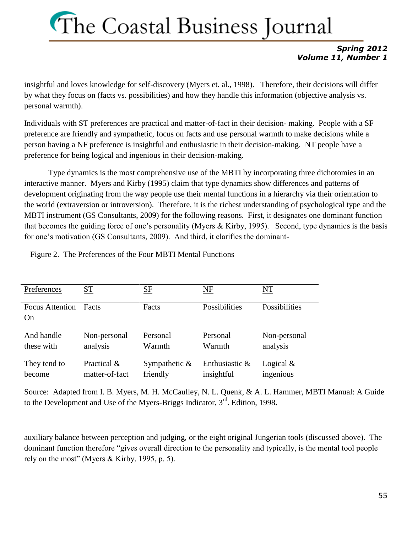#### *Spring 2012 Volume 11, Number 1*

insightful and loves knowledge for self-discovery (Myers et. al., 1998). Therefore, their decisions will differ by what they focus on (facts vs. possibilities) and how they handle this information (objective analysis vs. personal warmth).

Individuals with ST preferences are practical and matter-of-fact in their decision- making. People with a SF preference are friendly and sympathetic, focus on facts and use personal warmth to make decisions while a person having a NF preference is insightful and enthusiastic in their decision-making. NT people have a preference for being logical and ingenious in their decision-making.

Type dynamics is the most comprehensive use of the MBTI by incorporating three dichotomies in an interactive manner. Myers and Kirby (1995) claim that type dynamics show differences and patterns of development originating from the way people use their mental functions in a hierarchy via their orientation to the world (extraversion or introversion). Therefore, it is the richest understanding of psychological type and the MBTI instrument (GS Consultants, 2009) for the following reasons. First, it designates one dominant function that becomes the guiding force of one's personality (Myers  $&$  Kirby, 1995). Second, type dynamics is the basis for one's motivation (GS Consultants, 2009). And third, it clarifies the dominant-

Figure 2. The Preferences of the Four MBTI Mental Functions

| Preferences                  | ST             | SF               | NF             | NT            |
|------------------------------|----------------|------------------|----------------|---------------|
| <b>Focus Attention</b><br>On | <b>Facts</b>   | Facts            | Possibilities  | Possibilities |
| And handle                   | Non-personal   | Personal         | Personal       | Non-personal  |
| these with                   | analysis       | Warmth           | Warmth         | analysis      |
| They tend to                 | Practical &    | Sympathetic $\&$ | Enthusiastic & | Logical $&$   |
| become                       | matter-of-fact | friendly         | insightful     | ingenious     |

Source: Adapted from I. B. Myers, M. H. McCaulley, N. L. Quenk, & A. L. Hammer, MBTI Manual: A Guide to the Development and Use of the Myers-Briggs Indicator, 3rd. Edition, 1998**.**

auxiliary balance between perception and judging, or the eight original Jungerian tools (discussed above). The dominant function therefore "gives overall direction to the personality and typically, is the mental tool people rely on the most" (Myers & Kirby, 1995, p. 5).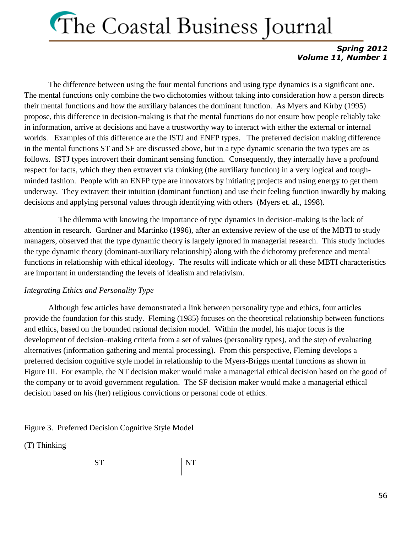#### *Spring 2012 Volume 11, Number 1*

The difference between using the four mental functions and using type dynamics is a significant one. The mental functions only combine the two dichotomies without taking into consideration how a person directs their mental functions and how the auxiliary balances the dominant function. As Myers and Kirby (1995) propose, this difference in decision-making is that the mental functions do not ensure how people reliably take in information, arrive at decisions and have a trustworthy way to interact with either the external or internal worlds. Examples of this difference are the ISTJ and ENFP types. The preferred decision making difference in the mental functions ST and SF are discussed above, but in a type dynamic scenario the two types are as follows. ISTJ types introvert their dominant sensing function. Consequently, they internally have a profound respect for facts, which they then extravert via thinking (the auxiliary function) in a very logical and toughminded fashion. People with an ENFP type are innovators by initiating projects and using energy to get them underway. They extravert their intuition (dominant function) and use their feeling function inwardly by making decisions and applying personal values through identifying with others (Myers et. al., 1998).

 The dilemma with knowing the importance of type dynamics in decision-making is the lack of attention in research. Gardner and Martinko (1996), after an extensive review of the use of the MBTI to study managers, observed that the type dynamic theory is largely ignored in managerial research. This study includes the type dynamic theory (dominant-auxiliary relationship) along with the dichotomy preference and mental functions in relationship with ethical ideology. The results will indicate which or all these MBTI characteristics are important in understanding the levels of idealism and relativism.

#### *Integrating Ethics and Personality Type*

Although few articles have demonstrated a link between personality type and ethics, four articles provide the foundation for this study. Fleming (1985) focuses on the theoretical relationship between functions and ethics, based on the bounded rational decision model. Within the model, his major focus is the development of decision–making criteria from a set of values (personality types), and the step of evaluating alternatives (information gathering and mental processing). From this perspective, Fleming develops a preferred decision cognitive style model in relationship to the Myers-Briggs mental functions as shown in Figure III. For example, the NT decision maker would make a managerial ethical decision based on the good of the company or to avoid government regulation. The SF decision maker would make a managerial ethical decision based on his (her) religious convictions or personal code of ethics.

Figure 3. Preferred Decision Cognitive Style Model

(T) Thinking

ST NT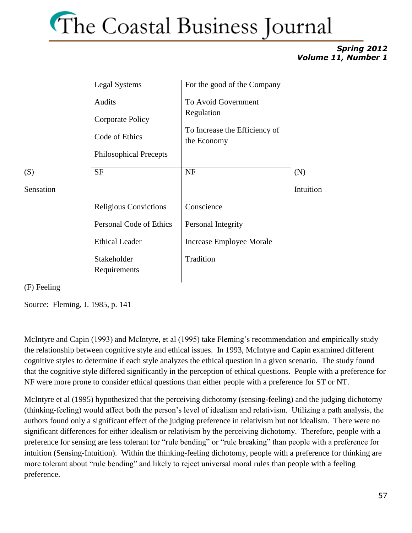#### *Spring 2012 Volume 11, Number 1*

| <b>Legal Systems</b>                         | For the good of the Company                                                       |                  |
|----------------------------------------------|-----------------------------------------------------------------------------------|------------------|
| Audits<br>Corporate Policy<br>Code of Ethics | To Avoid Government<br>Regulation<br>To Increase the Efficiency of<br>the Economy |                  |
| <b>SF</b>                                    | <b>NF</b>                                                                         | (N)<br>Intuition |
| <b>Religious Convictions</b>                 | Conscience                                                                        |                  |
| Personal Code of Ethics                      | Personal Integrity                                                                |                  |
| <b>Ethical Leader</b>                        | Increase Employee Morale                                                          |                  |
| Stakeholder<br>Requirements                  | Tradition                                                                         |                  |
|                                              | <b>Philosophical Precepts</b>                                                     |                  |

(F) Feeling

Source: Fleming, J. 1985, p. 141

McIntyre and Capin (1993) and McIntyre, et al (1995) take Fleming's recommendation and empirically study the relationship between cognitive style and ethical issues. In 1993, McIntyre and Capin examined different cognitive styles to determine if each style analyzes the ethical question in a given scenario. The study found that the cognitive style differed significantly in the perception of ethical questions. People with a preference for NF were more prone to consider ethical questions than either people with a preference for ST or NT.

McIntyre et al (1995) hypothesized that the perceiving dichotomy (sensing-feeling) and the judging dichotomy (thinking-feeling) would affect both the person's level of idealism and relativism. Utilizing a path analysis, the authors found only a significant effect of the judging preference in relativism but not idealism. There were no significant differences for either idealism or relativism by the perceiving dichotomy. Therefore, people with a preference for sensing are less tolerant for "rule bending" or "rule breaking" than people with a preference for intuition (Sensing-Intuition). Within the thinking-feeling dichotomy, people with a preference for thinking are more tolerant about "rule bending" and likely to reject universal moral rules than people with a feeling preference.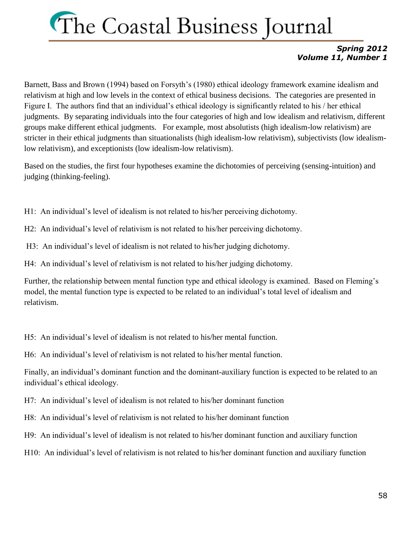#### *Spring 2012 Volume 11, Number 1*

Barnett, Bass and Brown (1994) based on Forsyth's (1980) ethical ideology framework examine idealism and relativism at high and low levels in the context of ethical business decisions. The categories are presented in Figure I. The authors find that an individual's ethical ideology is significantly related to his / her ethical judgments. By separating individuals into the four categories of high and low idealism and relativism, different groups make different ethical judgments. For example, most absolutists (high idealism-low relativism) are stricter in their ethical judgments than situationalists (high idealism-low relativism), subjectivists (low idealismlow relativism), and exceptionists (low idealism-low relativism).

Based on the studies, the first four hypotheses examine the dichotomies of perceiving (sensing-intuition) and judging (thinking-feeling).

H1: An individual's level of idealism is not related to his/her perceiving dichotomy.

- H2: An individual's level of relativism is not related to his/her perceiving dichotomy.
- H3: An individual's level of idealism is not related to his/her judging dichotomy.
- H4: An individual's level of relativism is not related to his/her judging dichotomy.

Further, the relationship between mental function type and ethical ideology is examined. Based on Fleming's model, the mental function type is expected to be related to an individual's total level of idealism and relativism.

H5: An individual's level of idealism is not related to his/her mental function.

H6: An individual's level of relativism is not related to his/her mental function.

Finally, an individual's dominant function and the dominant-auxiliary function is expected to be related to an individual's ethical ideology.

H7: An individual's level of idealism is not related to his/her dominant function

H8: An individual's level of relativism is not related to his/her dominant function

H9: An individual's level of idealism is not related to his/her dominant function and auxiliary function

H10: An individual's level of relativism is not related to his/her dominant function and auxiliary function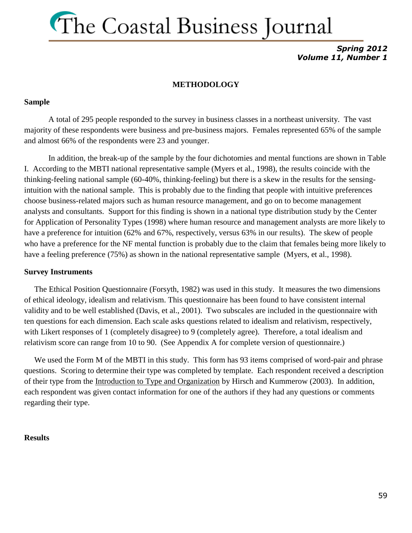*Spring 2012 Volume 11, Number 1*

#### **METHODOLOGY**

#### **Sample**

A total of 295 people responded to the survey in business classes in a northeast university. The vast majority of these respondents were business and pre-business majors. Females represented 65% of the sample and almost 66% of the respondents were 23 and younger.

In addition, the break-up of the sample by the four dichotomies and mental functions are shown in Table I. According to the MBTI national representative sample (Myers et al., 1998), the results coincide with the thinking-feeling national sample (60-40%, thinking-feeling) but there is a skew in the results for the sensingintuition with the national sample. This is probably due to the finding that people with intuitive preferences choose business-related majors such as human resource management, and go on to become management analysts and consultants. Support for this finding is shown in a national type distribution study by the Center for Application of Personality Types (1998) where human resource and management analysts are more likely to have a preference for intuition (62% and 67%, respectively, versus 63% in our results). The skew of people who have a preference for the NF mental function is probably due to the claim that females being more likely to have a feeling preference (75%) as shown in the national representative sample (Myers, et al., 1998).

#### **Survey Instruments**

 The Ethical Position Questionnaire (Forsyth, 1982) was used in this study. It measures the two dimensions of ethical ideology, idealism and relativism. This questionnaire has been found to have consistent internal validity and to be well established (Davis, et al., 2001). Two subscales are included in the questionnaire with ten questions for each dimension. Each scale asks questions related to idealism and relativism, respectively, with Likert responses of 1 (completely disagree) to 9 (completely agree). Therefore, a total idealism and relativism score can range from 10 to 90. (See Appendix A for complete version of questionnaire.)

We used the Form M of the MBTI in this study. This form has 93 items comprised of word-pair and phrase questions. Scoring to determine their type was completed by template. Each respondent received a description of their type from the Introduction to Type and Organization by Hirsch and Kummerow (2003). In addition, each respondent was given contact information for one of the authors if they had any questions or comments regarding their type.

#### **Results**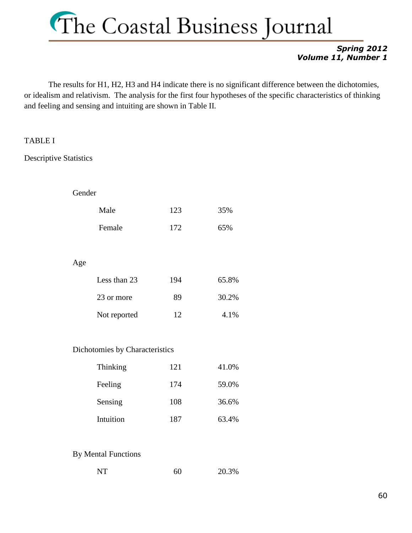#### *Spring 2012 Volume 11, Number 1*

The results for H1, H2, H3 and H4 indicate there is no significant difference between the dichotomies, or idealism and relativism. The analysis for the first four hypotheses of the specific characteristics of thinking and feeling and sensing and intuiting are shown in Table II.

#### TABLE I

Descriptive Statistics

| tender ! |
|----------|
|----------|

| Male   | 123 | 35% |
|--------|-----|-----|
| Female | 172 | 65% |

Age

| Less than 23 | 194 | 65.8% |
|--------------|-----|-------|
| 23 or more   | 89  | 30.2% |
| Not reported | 12  | 4.1%  |

#### Dichotomies by Characteristics

| Thinking  | 121 | 41.0% |
|-----------|-----|-------|
| Feeling   | 174 | 59.0% |
| Sensing   | 108 | 36.6% |
| Intuition | 187 | 63.4% |

#### By Mental Functions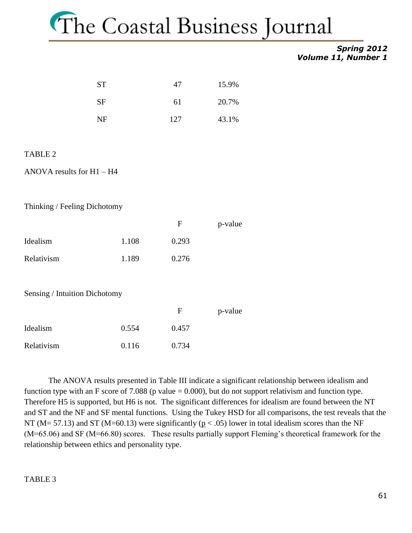#### *Spring 2012 Volume 11, Number 1*

| <b>ST</b> | 47  | 15.9% |
|-----------|-----|-------|
| <b>SF</b> | 61  | 20.7% |
| NF        | 127 | 43.1% |

#### TABLE 2

ANOVA results for H1 – H4

Thinking / Feeling Dichotomy

|            |       | F     | p-value |
|------------|-------|-------|---------|
| Idealism   | 1.108 | 0.293 |         |
| Relativism | 1.189 | 0.276 |         |

Sensing / Intuition Dichotomy

|            |       | F     | p-value |
|------------|-------|-------|---------|
| Idealism   | 0.554 | 0.457 |         |
| Relativism | 0.116 | 0.734 |         |

The ANOVA results presented in Table III indicate a significant relationship between idealism and function type with an F score of 7.088 (p value  $= 0.000$ ), but do not support relativism and function type. Therefore H5 is supported, but H6 is not. The significant differences for idealism are found between the NT and ST and the NF and SF mental functions. Using the Tukey HSD for all comparisons, the test reveals that the NT ( $M = 57.13$ ) and ST ( $M = 60.13$ ) were significantly ( $p < .05$ ) lower in total idealism scores than the NF (M=65.06) and SF (M=66.80) scores. These results partially support Fleming's theoretical framework for the relationship between ethics and personality type.

#### TABLE 3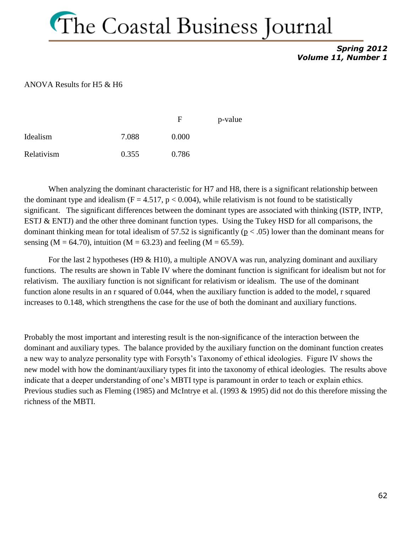*Spring 2012 Volume 11, Number 1*

#### ANOVA Results for H5 & H6

|            |       | F     | p-value |
|------------|-------|-------|---------|
| Idealism   | 7.088 | 0.000 |         |
| Relativism | 0.355 | 0.786 |         |

When analyzing the dominant characteristic for H7 and H8, there is a significant relationship between the dominant type and idealism ( $F = 4.517$ ,  $p < 0.004$ ), while relativism is not found to be statistically significant. The significant differences between the dominant types are associated with thinking (ISTP, INTP, ESTJ & ENTJ) and the other three dominant function types. Using the Tukey HSD for all comparisons, the dominant thinking mean for total idealism of 57.52 is significantly ( $p < .05$ ) lower than the dominant means for sensing (M = 64.70), intuition (M = 63.23) and feeling (M = 65.59).

For the last 2 hypotheses (H9 & H10), a multiple ANOVA was run, analyzing dominant and auxiliary functions. The results are shown in Table IV where the dominant function is significant for idealism but not for relativism. The auxiliary function is not significant for relativism or idealism. The use of the dominant function alone results in an r squared of 0.044, when the auxiliary function is added to the model, r squared increases to 0.148, which strengthens the case for the use of both the dominant and auxiliary functions.

Probably the most important and interesting result is the non-significance of the interaction between the dominant and auxiliary types. The balance provided by the auxiliary function on the dominant function creates a new way to analyze personality type with Forsyth's Taxonomy of ethical ideologies. Figure IV shows the new model with how the dominant/auxiliary types fit into the taxonomy of ethical ideologies. The results above indicate that a deeper understanding of one's MBTI type is paramount in order to teach or explain ethics. Previous studies such as Fleming (1985) and McIntrye et al. (1993 & 1995) did not do this therefore missing the richness of the MBTI.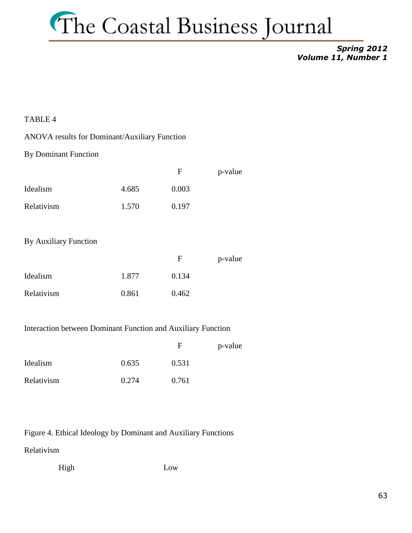#### *Spring 2012 Volume 11, Number 1*

#### TABLE 4

#### ANOVA results for Dominant/Auxiliary Function

#### By Dominant Function

|            |       | F     | p-value |
|------------|-------|-------|---------|
| Idealism   | 4.685 | 0.003 |         |
| Relativism | 1.570 | 0.197 |         |

#### By Auxiliary Function

|            |       | F     | p-value |
|------------|-------|-------|---------|
| Idealism   | 1.877 | 0.134 |         |
| Relativism | 0.861 | 0.462 |         |

#### Interaction between Dominant Function and Auxiliary Function

|            |       | F     | p-value |
|------------|-------|-------|---------|
| Idealism   | 0.635 | 0.531 |         |
| Relativism | 0.274 | 0.761 |         |

Figure 4. Ethical Ideology by Dominant and Auxiliary Functions

Relativism

High Low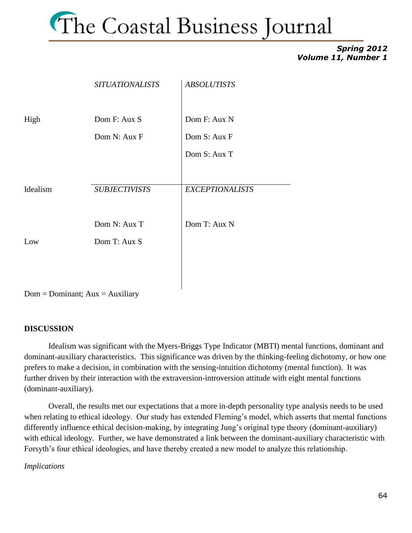#### *Spring 2012 Volume 11, Number 1*

|          | <b>SITUATIONALISTS</b> | <b>ABSOLUTISTS</b>     |
|----------|------------------------|------------------------|
| High     | Dom F: Aux S           | Dom F: Aux N           |
|          | Dom N: Aux F           | Dom S: Aux F           |
|          |                        | Dom S: Aux T           |
|          |                        |                        |
| Idealism | <b>SUBJECTIVISTS</b>   | <b>EXCEPTIONALISTS</b> |
|          |                        |                        |
|          | Dom N: Aux T           | Dom T: Aux N           |
| Low      | Dom T: Aux S           |                        |
|          |                        |                        |
|          |                        |                        |

 $Dom = Dominant$ ;  $Aux = Auxiliary$ 

#### **DISCUSSION**

Idealism was significant with the Myers-Briggs Type Indicator (MBTI) mental functions, dominant and dominant-auxiliary characteristics. This significance was driven by the thinking-feeling dichotomy, or how one prefers to make a decision, in combination with the sensing-intuition dichotomy (mental function). It was further driven by their interaction with the extraversion-introversion attitude with eight mental functions (dominant-auxiliary).

Overall, the results met our expectations that a more in-depth personality type analysis needs to be used when relating to ethical ideology. Our study has extended Fleming's model, which asserts that mental functions differently influence ethical decision-making, by integrating Jung's original type theory (dominant-auxiliary) with ethical ideology. Further, we have demonstrated a link between the dominant-auxiliary characteristic with Forsyth's four ethical ideologies, and have thereby created a new model to analyze this relationship.

#### *Implications*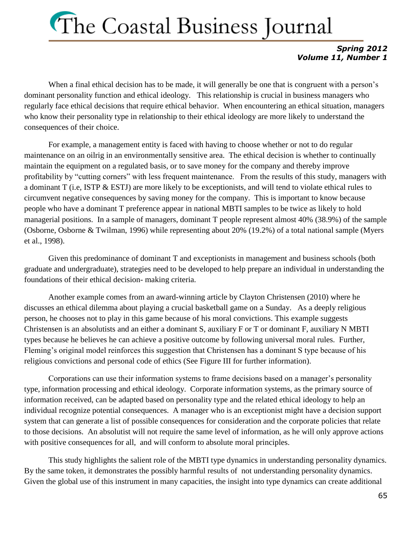#### *Spring 2012 Volume 11, Number 1*

When a final ethical decision has to be made, it will generally be one that is congruent with a person's dominant personality function and ethical ideology. This relationship is crucial in business managers who regularly face ethical decisions that require ethical behavior. When encountering an ethical situation, managers who know their personality type in relationship to their ethical ideology are more likely to understand the consequences of their choice.

For example, a management entity is faced with having to choose whether or not to do regular maintenance on an oilrig in an environmentally sensitive area. The ethical decision is whether to continually maintain the equipment on a regulated basis, or to save money for the company and thereby improve profitability by "cutting corners" with less frequent maintenance. From the results of this study, managers with a dominant T (i.e, ISTP & ESTJ) are more likely to be exceptionists, and will tend to violate ethical rules to circumvent negative consequences by saving money for the company. This is important to know because people who have a dominant T preference appear in national MBTI samples to be twice as likely to hold managerial positions. In a sample of managers, dominant T people represent almost 40% (38.9%) of the sample (Osborne, Osborne & Twilman, 1996) while representing about 20% (19.2%) of a total national sample (Myers et al., 1998).

Given this predominance of dominant T and exceptionists in management and business schools (both graduate and undergraduate), strategies need to be developed to help prepare an individual in understanding the foundations of their ethical decision- making criteria.

Another example comes from an award-winning article by Clayton Christensen (2010) where he discusses an ethical dilemma about playing a crucial basketball game on a Sunday. As a deeply religious person, he chooses not to play in this game because of his moral convictions. This example suggests Christensen is an absolutists and an either a dominant S, auxiliary F or T or dominant F, auxiliary N MBTI types because he believes he can achieve a positive outcome by following universal moral rules. Further, Fleming's original model reinforces this suggestion that Christensen has a dominant S type because of his religious convictions and personal code of ethics (See Figure III for further information).

Corporations can use their information systems to frame decisions based on a manager's personality type, information processing and ethical ideology. Corporate information systems, as the primary source of information received, can be adapted based on personality type and the related ethical ideology to help an individual recognize potential consequences. A manager who is an exceptionist might have a decision support system that can generate a list of possible consequences for consideration and the corporate policies that relate to those decisions. An absolutist will not require the same level of information, as he will only approve actions with positive consequences for all, and will conform to absolute moral principles.

This study highlights the salient role of the MBTI type dynamics in understanding personality dynamics. By the same token, it demonstrates the possibly harmful results of not understanding personality dynamics. Given the global use of this instrument in many capacities, the insight into type dynamics can create additional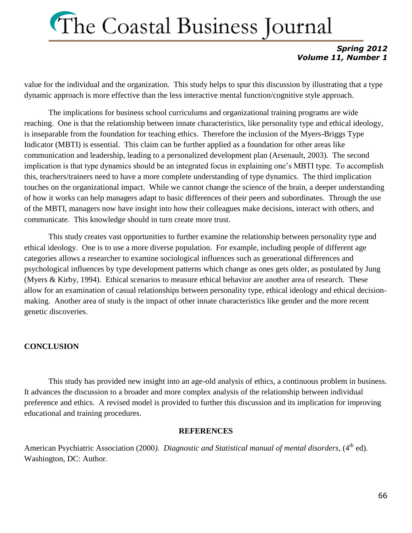#### *Spring 2012 Volume 11, Number 1*

value for the individual and the organization. This study helps to spur this discussion by illustrating that a type dynamic approach is more effective than the less interactive mental function/cognitive style approach.

The implications for business school curriculums and organizational training programs are wide reaching. One is that the relationship between innate characteristics, like personality type and ethical ideology, is inseparable from the foundation for teaching ethics. Therefore the inclusion of the Myers-Briggs Type Indicator (MBTI) is essential. This claim can be further applied as a foundation for other areas like communication and leadership, leading to a personalized development plan (Arsenault, 2003). The second implication is that type dynamics should be an integrated focus in explaining one's MBTI type. To accomplish this, teachers/trainers need to have a more complete understanding of type dynamics. The third implication touches on the organizational impact. While we cannot change the science of the brain, a deeper understanding of how it works can help managers adapt to basic differences of their peers and subordinates. Through the use of the MBTI, managers now have insight into how their colleagues make decisions, interact with others, and communicate. This knowledge should in turn create more trust.

This study creates vast opportunities to further examine the relationship between personality type and ethical ideology. One is to use a more diverse population. For example, including people of different age categories allows a researcher to examine sociological influences such as generational differences and psychological influences by type development patterns which change as ones gets older, as postulated by Jung (Myers & Kirby, 1994). Ethical scenarios to measure ethical behavior are another area of research. These allow for an examination of casual relationships between personality type, ethical ideology and ethical decisionmaking. Another area of study is the impact of other innate characteristics like gender and the more recent genetic discoveries.

#### **CONCLUSION**

This study has provided new insight into an age-old analysis of ethics, a continuous problem in business. It advances the discussion to a broader and more complex analysis of the relationship between individual preference and ethics. A revised model is provided to further this discussion and its implication for improving educational and training procedures.

#### **REFERENCES**

American Psychiatric Association (2000). *Diagnostic and Statistical manual of mental disorders*, (4<sup>th</sup> ed). Washington, DC: Author.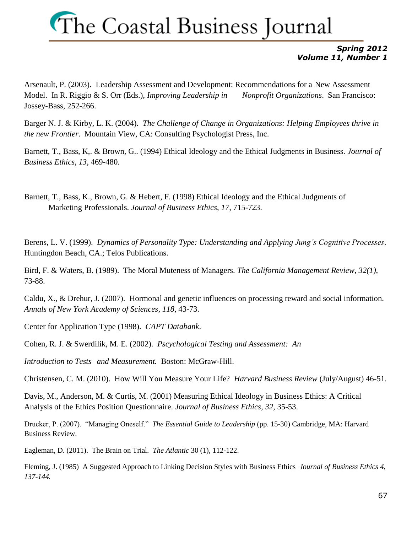#### *Spring 2012 Volume 11, Number 1*

Arsenault, P. (2003). Leadership Assessment and Development: Recommendations for a New Assessment Model. In R. Riggio & S. Orr (Eds.), *Improving Leadership in Nonprofit Organizations*. San Francisco: Jossey-Bass, 252-266.

Barger N. J. & Kirby, L. K. (2004). *The Challenge of Change in Organizations: Helping Employees thrive in the new Frontier*. Mountain View, CA: Consulting Psychologist Press, Inc.

Barnett, T., Bass, K,. & Brown, G.. (1994) Ethical Ideology and the Ethical Judgments in Business. *Journal of Business Ethics, 13*, 469-480.

Barnett, T., Bass, K., Brown, G. & Hebert, F. (1998) Ethical Ideology and the Ethical Judgments of Marketing Professionals. *Journal of Business Ethics*, *17,* 715-723.

Berens, L. V. (1999). *Dynamics of Personality Type: Understanding and Applying Jung's Cognitive Processes*. Huntingdon Beach, CA.; Telos Publications.

Bird, F. & Waters, B. (1989). The Moral Muteness of Managers. *The California Management Review, 32(1)*, 73-88.

Caldu, X., & Drehur, J. (2007). Hormonal and genetic influences on processing reward and social information. *Annals of New York Academy of Sciences*, *118*, 43-73.

Center for Application Type (1998). *CAPT Databank*.

Cohen, R. J. & Swerdilik, M. E. (2002). *Pscychological Testing and Assessment: An* 

*Introduction to Tests and Measurement.* Boston: McGraw-Hill.

Christensen, C. M. (2010). How Will You Measure Your Life? *Harvard Business Review* (July/August) 46-51.

Davis, M., Anderson, M. & Curtis, M. (2001) Measuring Ethical Ideology in Business Ethics: A Critical Analysis of the Ethics Position Questionnaire. *Journal of Business Ethics, 32*, 35-53.

Drucker, P. (2007). "Managing Oneself." *The Essential Guide to Leadership* (pp. 15-30) Cambridge, MA: Harvard Business Review.

Eagleman, D. (2011). The Brain on Trial. *The Atlantic* 30 (1), 112-122.

Fleming, J. (1985) A Suggested Approach to Linking Decision Styles with Business Ethics *Journal of Business Ethics 4, 137-144.*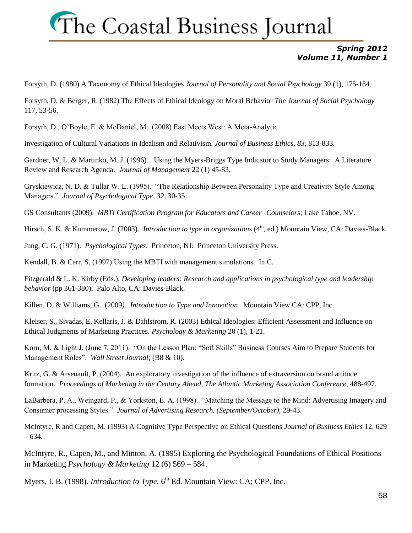#### *Spring 2012 Volume 11, Number 1*

Forsyth, D. (1980) A Taxonomy of Ethical Ideologies *Journal of Personality and Social Psychology* 39 (1), 175-184.

Forsyth, D. & Berger, R. (1982) The Effects of Ethical Ideology on Moral Behavior *The Journal of Social Psychology* 117, 53-56.

Forsyth, D., O'Boyle, E. & McDaniel, M.. (2008) East Meets West: A Meta-Analytic

Investigation of Cultural Variations in Idealism and Relativism. *Journal of Business Ethics, 83*, 813-833.

Gardner, W, L. & Martinko, M. J. (1996). Using the Myers-Briggs Type Indicator to Study Managers: A Literature Review and Research Agenda. *Journal of Management* 22 (1) 45-83.

Gryskiewicz, N. D. & Tullar W. L. (1995). "The Relationship Between Personality Type and Creativity Style Among Managers." *Journal of Psychological Type*, *32*, 30-35.

GS Consultants (2009). *MBTI Certification Program for Educators and Career Counselors*; Lake Tahoe, NV.

Hirsch, S. K. & Kummerow, J. (2003). *Introduction to type in organizations* (4<sup>th</sup>, ed.) Mountain View, CA: Davies-Black.

Jung, C. G. (1971). *Psychological Types*. Princeton, NJ: Princeton University Press.

Kendall, B. & Carr, S. (1997) Using the MBTI with management simulations. In C.

Fitzgerald & L. K. Kirby (Eds.), *Developing leaders: Research and applications in psychological type and leadership behavior* (pp 361-380). Palo Alto, CA: Davies-Black.

Killen, D. & Williams, G.. (2009*). Introduction to Type and Innovation*. Mountain View CA: CPP, Inc.

Kleiser, S., Sivadas, E. Kellaris, J. & Dahlstrom, R. (2003) Ethical Ideologies: Efficient Assessment and Influence on Ethical Judgments of Marketing Practices. *Psychology & Marketing* 20 (1), 1-21.

Korn, M. & Light J. (June 7, 2011). "On the Lesson Plan: "Soft Skills" Business Courses Aim to Prepare Students for Management Roles". *Wall Street Journal*; (B8 & 10).

Kritz, G. & Arsenault, P. (2004). An exploratory investigation of the influence of extraversion on brand attitude formation. *Proceedings of Marketing in the Century Ahead, The Atlantic Marketing Association Conference,* 488-497.

LaBarbera, P. A., Weingard, P., & Yorkston, E. A. (1998). "Matching the Message to the Mind: Advertising Imagery and Consumer processing Styles." *Journal of Advertising Research. (September/October),* 29-43.

McIntyre, R and Capen, M. (1993) A Cognitive Type Perspective on Ethical Questions *Journal of Business Ethics* 12, 629 – 634.

McIntyre, R., Capen, M., and Minton, A. (1995) Exploring the Psychological Foundations of Ethical Positions in Marketing *Psychology & Marketing* 12 (6) 569 – 584.

Myers, I. B. (1998). *Introduction to Type*, 6<sup>th</sup> Ed. Mountain View: CA; CPP, Inc.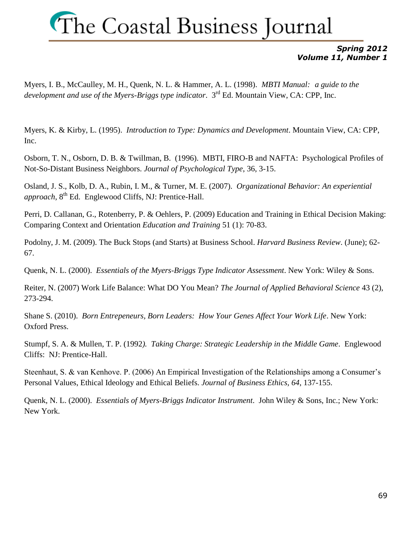#### *Spring 2012 Volume 11, Number 1*

Myers, I. B., McCaulley, M. H., Quenk, N. L. & Hammer, A. L. (1998). *MBTI Manual: a guide to the development and use of the Myers-Briggs type indicator*. 3rd Ed. Mountain View, CA: CPP, Inc.

Myers, K. & Kirby, L. (1995). *Introduction to Type: Dynamics and Development*. Mountain View, CA: CPP, Inc.

Osborn, T. N., Osborn, D. B. & Twillman, B. (1996). MBTI, FIRO-B and NAFTA: Psychological Profiles of Not-So-Distant Business Neighbors. *Journal of Psychological Type*, 36, 3-15.

Osland, J. S., Kolb, D. A., Rubin, I. M., & Turner, M. E. (2007). *Organizational Behavior: An experiential approach*, 8th Ed. Englewood Cliffs, NJ: Prentice-Hall.

Perri, D. Callanan, G., Rotenberry, P. & Oehlers, P. (2009) Education and Training in Ethical Decision Making: Comparing Context and Orientation *Education and Training* 51 (1): 70-83.

Podolny, J. M. (2009). The Buck Stops (and Starts) at Business School. *Harvard Business Review*. (June); 62- 67.

Quenk, N. L. (2000). *Essentials of the Myers-Briggs Type Indicator Assessment*. New York: Wiley & Sons.

Reiter, N. (2007) Work Life Balance: What DO You Mean? *The Journal of Applied Behavioral Science* 43 (2), 273-294.

Shane S. (2010). *Born Entrepeneurs, Born Leaders: How Your Genes Affect Your Work Life*. New York: Oxford Press.

Stumpf, S. A. & Mullen, T. P. (1992*). Taking Charge: Strategic Leadership in the Middle Game*. Englewood Cliffs: NJ: Prentice-Hall.

Steenhaut, S. & van Kenhove. P. (2006) An Empirical Investigation of the Relationships among a Consumer's Personal Values, Ethical Ideology and Ethical Beliefs. *Journal of Business Ethics, 64*, 137-155.

Quenk, N. L. (2000). *Essentials of Myers-Briggs Indicator Instrument*. John Wiley & Sons, Inc.; New York: New York.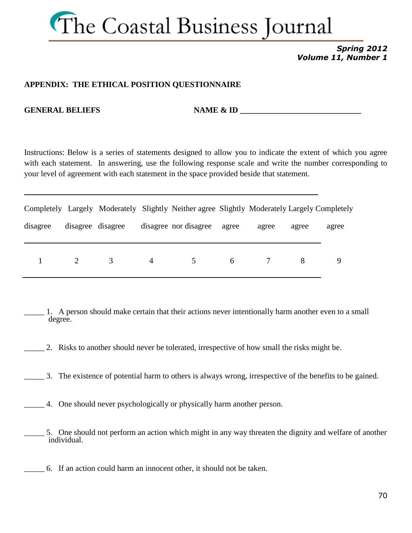

#### *Spring 2012 Volume 11, Number 1*

#### **APPENDIX: THE ETHICAL POSITION QUESTIONNAIRE**

**GENERAL BELIEFS** NAME & ID

Instructions: Below is a series of statements designed to allow you to indicate the extent of which you agree with each statement. In answering, use the following response scale and write the number corresponding to your level of agreement with each statement in the space provided beside that statement.

|          |                   |               |                | Completely Largely Moderately Slightly Neither agree Slightly Moderately Largely Completely |       |       |       |       |
|----------|-------------------|---------------|----------------|---------------------------------------------------------------------------------------------|-------|-------|-------|-------|
| disagree | disagree disagree |               |                | disagree nor disagree                                                                       | agree | agree | agree | agree |
|          |                   | $\mathcal{R}$ | $\overline{4}$ | $5^{\circ}$                                                                                 | 6     |       |       |       |

\_\_\_\_\_ 1. A person should make certain that their actions never intentionally harm another even to a small degree.

- \_\_\_\_\_ 2. Risks to another should never be tolerated, irrespective of how small the risks might be.
- \_\_\_\_\_ 3. The existence of potential harm to others is always wrong, irrespective of the benefits to be gained.
- \_\_\_\_\_ 4. One should never psychologically or physically harm another person.
- 5. One should not perform an action which might in any way threaten the dignity and welfare of another individual.
- \_\_\_\_\_ 6. If an action could harm an innocent other, it should not be taken.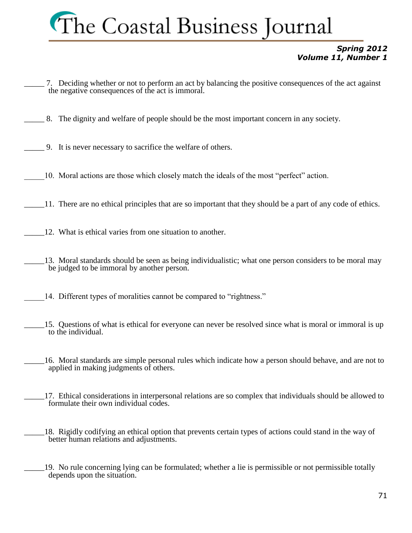#### *Spring 2012 Volume 11, Number 1*

- \_\_\_\_\_ 7. Deciding whether or not to perform an act by balancing the positive consequences of the act against the negative consequences of the act is immoral.
- \_\_\_\_\_ 8. The dignity and welfare of people should be the most important concern in any society.
- \_\_\_\_\_ 9. It is never necessary to sacrifice the welfare of others.
- \_\_\_\_\_10. Moral actions are those which closely match the ideals of the most "perfect" action.
- \_\_\_\_\_11. There are no ethical principles that are so important that they should be a part of any code of ethics.
- 12. What is ethical varies from one situation to another.
- 13. Moral standards should be seen as being individualistic; what one person considers to be moral may be judged to be immoral by another person.
	- 14. Different types of moralities cannot be compared to "rightness."
- \_\_\_\_\_15. Questions of what is ethical for everyone can never be resolved since what is moral or immoral is up to the individual.
- \_\_\_\_\_16. Moral standards are simple personal rules which indicate how a person should behave, and are not to applied in making judgments of others.
- 17. Ethical considerations in interpersonal relations are so complex that individuals should be allowed to formulate their own individual codes.
- \_\_\_\_\_18. Rigidly codifying an ethical option that prevents certain types of actions could stand in the way of better human relations and adjustments.
- \_\_\_\_\_19. No rule concerning lying can be formulated; whether a lie is permissible or not permissible totally depends upon the situation.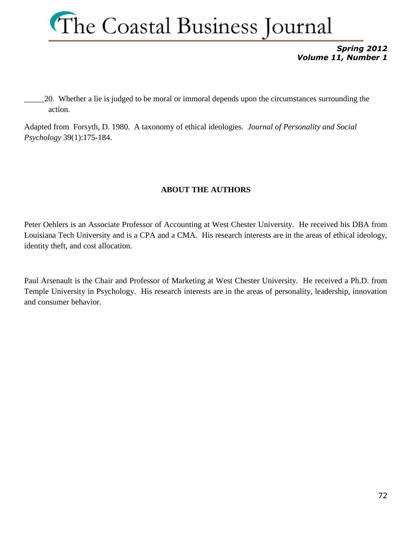

*Spring 2012 Volume 11, Number 1*

\_\_\_\_\_20. Whether a lie is judged to be moral or immoral depends upon the circumstances surrounding the action.

Adapted from Forsyth, D. 1980. A taxonomy of ethical ideologies. *Journal of Personality and Social Psychology* 39(1):175-184.

#### **ABOUT THE AUTHORS**

Peter Oehlers is an Associate Professor of Accounting at West Chester University. He received his DBA from Louisiana Tech University and is a CPA and a CMA. His research interests are in the areas of ethical ideology, identity theft, and cost allocation.

Paul Arsenault is the Chair and Professor of Marketing at West Chester University. He received a Ph.D. from Temple University in Psychology. His research interests are in the areas of personality, leadership, innovation and consumer behavior.